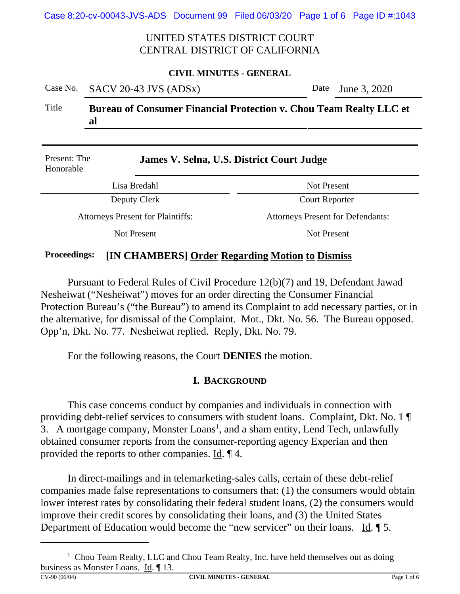Case 8:20-cv-00043-JVS-ADS Document 99 Filed 06/03/20 Page 1 of 6 Page ID #:1043

# UNITED STATES DISTRICT COURT CENTRAL DISTRICT OF CALIFORNIA

#### **CIVIL MINUTES - GENERAL**

|       | Case No. SACV 20-43 JVS (ADSx)                                                  | Date June 3, 2020 |  |  |
|-------|---------------------------------------------------------------------------------|-------------------|--|--|
| Title | <b>Bureau of Consumer Financial Protection v. Chou Team Realty LLC et</b><br>al |                   |  |  |
|       |                                                                                 |                   |  |  |

| Present: The<br>Honorable                | James V. Selna, U.S. District Court Judge |  |  |
|------------------------------------------|-------------------------------------------|--|--|
| Lisa Bredahl                             | <b>Not Present</b>                        |  |  |
| Deputy Clerk                             | <b>Court Reporter</b>                     |  |  |
| <b>Attorneys Present for Plaintiffs:</b> | <b>Attorneys Present for Defendants:</b>  |  |  |
| Not Present                              | Not Present                               |  |  |
|                                          |                                           |  |  |

### **Proceedings: [IN CHAMBERS] Order Regarding Motion to Dismiss**

Pursuant to Federal Rules of Civil Procedure 12(b)(7) and 19, Defendant Jawad Nesheiwat ("Nesheiwat") moves for an order directing the Consumer Financial Protection Bureau's ("the Bureau") to amend its Complaint to add necessary parties, or in the alternative, for dismissal of the Complaint. Mot., Dkt. No. 56. The Bureau opposed. Opp'n, Dkt. No. 77. Nesheiwat replied. Reply, Dkt. No. 79.

For the following reasons, the Court **DENIES** the motion.

# **I. BACKGROUND**

This case concerns conduct by companies and individuals in connection with providing debt-relief services to consumers with student loans. Complaint, Dkt. No. 1 ¶ 3. A mortgage company, Monster Loans<sup>1</sup>, and a sham entity, Lend Tech, unlawfully obtained consumer reports from the consumer-reporting agency Experian and then provided the reports to other companies. Id. ¶ 4.

In direct-mailings and in telemarketing-sales calls, certain of these debt-relief companies made false representations to consumers that: (1) the consumers would obtain lower interest rates by consolidating their federal student loans, (2) the consumers would improve their credit scores by consolidating their loans, and (3) the United States Department of Education would become the "new servicer" on their loans. Id. 15.

<sup>&</sup>lt;sup>1</sup> Chou Team Realty, LLC and Chou Team Realty, Inc. have held themselves out as doing business as Monster Loans. <u>Id</u>.  $\P$  13.<br>
CV-90 (06/04)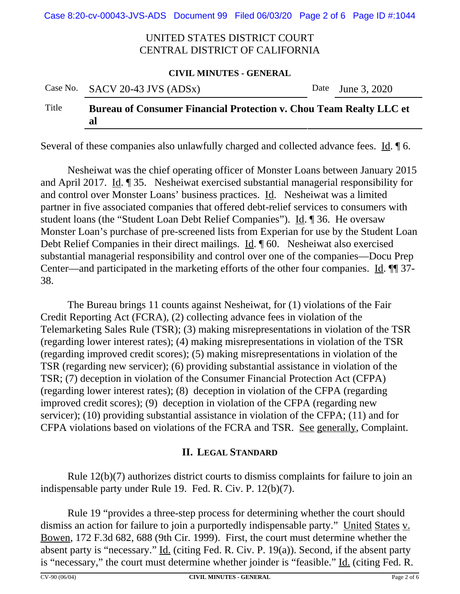Case 8:20-cv-00043-JVS-ADS Document 99 Filed 06/03/20 Page 2 of 6 Page ID #:1044

# UNITED STATES DISTRICT COURT CENTRAL DISTRICT OF CALIFORNIA

#### **CIVIL MINUTES - GENERAL**

|       | Case No. SACV 20-43 JVS $(ADSx)$                                                | Date June 3, 2020 |
|-------|---------------------------------------------------------------------------------|-------------------|
| Title | <b>Bureau of Consumer Financial Protection v. Chou Team Realty LLC et</b><br>al |                   |

Several of these companies also unlawfully charged and collected advance fees. Id. ¶ 6.

Nesheiwat was the chief operating officer of Monster Loans between January 2015 and April 2017. Id. ¶ 35. Nesheiwat exercised substantial managerial responsibility for and control over Monster Loans' business practices. Id. Nesheiwat was a limited partner in five associated companies that offered debt-relief services to consumers with student loans (the "Student Loan Debt Relief Companies"). Id. ¶ 36. He oversaw Monster Loan's purchase of pre-screened lists from Experian for use by the Student Loan Debt Relief Companies in their direct mailings. Id. ¶ 60. Nesheiwat also exercised substantial managerial responsibility and control over one of the companies—Docu Prep Center—and participated in the marketing efforts of the other four companies. Id. ¶¶ 37- 38.

The Bureau brings 11 counts against Nesheiwat, for (1) violations of the Fair Credit Reporting Act (FCRA), (2) collecting advance fees in violation of the Telemarketing Sales Rule (TSR); (3) making misrepresentations in violation of the TSR (regarding lower interest rates); (4) making misrepresentations in violation of the TSR (regarding improved credit scores); (5) making misrepresentations in violation of the TSR (regarding new servicer); (6) providing substantial assistance in violation of the TSR; (7) deception in violation of the Consumer Financial Protection Act (CFPA) (regarding lower interest rates); (8) deception in violation of the CFPA (regarding improved credit scores); (9) deception in violation of the CFPA (regarding new servicer); (10) providing substantial assistance in violation of the CFPA; (11) and for CFPA violations based on violations of the FCRA and TSR. See generally, Complaint.

# **II. LEGAL STANDARD**

Rule 12(b)(7) authorizes district courts to dismiss complaints for failure to join an indispensable party under Rule 19. Fed. R. Civ. P. 12(b)(7).

Rule 19 "provides a three-step process for determining whether the court should dismiss an action for failure to join a purportedly indispensable party." United States v. Bowen, 172 F.3d 682, 688 (9th Cir. 1999). First, the court must determine whether the absent party is "necessary."  $\underline{\text{Id}}$ . (citing Fed. R. Civ. P. 19(a)). Second, if the absent party is "necessary," the court must determine whether joinder is "feasible." Id. (citing Fed. R.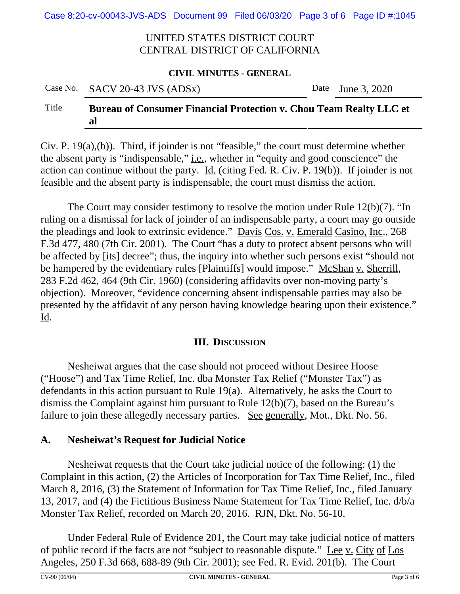Case 8:20-cv-00043-JVS-ADS Document 99 Filed 06/03/20 Page 3 of 6 Page ID #:1045

# UNITED STATES DISTRICT COURT CENTRAL DISTRICT OF CALIFORNIA

#### **CIVIL MINUTES - GENERAL**

|       | Case No. SACV 20-43 JVS (ADSx)                                                  | Date June 3, 2020 |
|-------|---------------------------------------------------------------------------------|-------------------|
| Title | <b>Bureau of Consumer Financial Protection v. Chou Team Realty LLC et</b><br>al |                   |

Civ. P. 19(a),(b)). Third, if joinder is not "feasible," the court must determine whether the absent party is "indispensable," <u>i.e.</u>, whether in "equity and good conscience" the action can continue without the party.  $\underline{Id}$ . (citing Fed. R. Civ. P. 19(b)). If joinder is not feasible and the absent party is indispensable, the court must dismiss the action.

The Court may consider testimony to resolve the motion under Rule 12(b)(7). "In ruling on a dismissal for lack of joinder of an indispensable party, a court may go outside the pleadings and look to extrinsic evidence." Davis Cos. v. Emerald Casino, Inc., 268 F.3d 477, 480 (7th Cir. 2001). The Court "has a duty to protect absent persons who will be affected by [its] decree"; thus, the inquiry into whether such persons exist "should not be hampered by the evidentiary rules [Plaintiffs] would impose." McShan v. Sherrill, 283 F.2d 462, 464 (9th Cir. 1960) (considering affidavits over non-moving party's objection). Moreover, "evidence concerning absent indispensable parties may also be presented by the affidavit of any person having knowledge bearing upon their existence." Id.

# **III. DISCUSSION**

Nesheiwat argues that the case should not proceed without Desiree Hoose ("Hoose") and Tax Time Relief, Inc. dba Monster Tax Relief ("Monster Tax") as defendants in this action pursuant to Rule 19(a). Alternatively, he asks the Court to dismiss the Complaint against him pursuant to Rule 12(b)(7), based on the Bureau's failure to join these allegedly necessary parties. See generally, Mot., Dkt. No. 56.

# **A. Nesheiwat's Request for Judicial Notice**

Nesheiwat requests that the Court take judicial notice of the following: (1) the Complaint in this action, (2) the Articles of Incorporation for Tax Time Relief, Inc., filed March 8, 2016, (3) the Statement of Information for Tax Time Relief, Inc., filed January 13, 2017, and (4) the Fictitious Business Name Statement for Tax Time Relief, Inc. d/b/a Monster Tax Relief, recorded on March 20, 2016. RJN, Dkt. No. 56-10.

Under Federal Rule of Evidence 201, the Court may take judicial notice of matters of public record if the facts are not "subject to reasonable dispute." Lee v. City of Los Angeles, 250 F.3d 668, 688-89 (9th Cir. 2001); see Fed. R. Evid. 201(b). The Court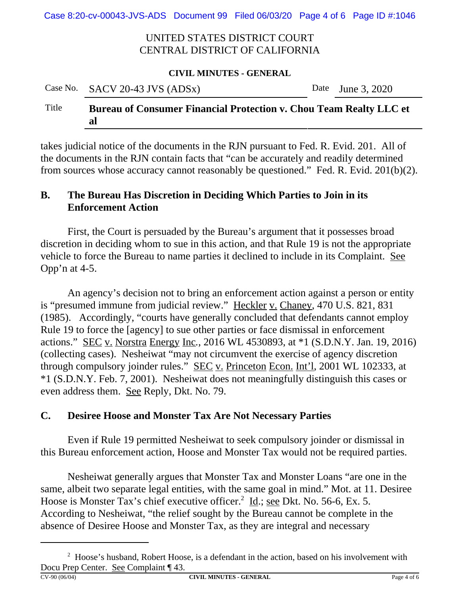Case 8:20-cv-00043-JVS-ADS Document 99 Filed 06/03/20 Page 4 of 6 Page ID #:1046

# UNITED STATES DISTRICT COURT CENTRAL DISTRICT OF CALIFORNIA

#### **CIVIL MINUTES - GENERAL**

# Case No. SACV 20-43 JVS (ADSx) Date June 3, 2020 Title **Bureau of Consumer Financial Protection v. Chou Team Realty LLC et al**

takes judicial notice of the documents in the RJN pursuant to Fed. R. Evid. 201. All of the documents in the RJN contain facts that "can be accurately and readily determined from sources whose accuracy cannot reasonably be questioned." Fed. R. Evid. 201(b)(2).

# **B. The Bureau Has Discretion in Deciding Which Parties to Join in its Enforcement Action**

First, the Court is persuaded by the Bureau's argument that it possesses broad discretion in deciding whom to sue in this action, and that Rule 19 is not the appropriate vehicle to force the Bureau to name parties it declined to include in its Complaint. See Opp'n at 4-5.

An agency's decision not to bring an enforcement action against a person or entity is "presumed immune from judicial review." Heckler v. Chaney, 470 U.S. 821, 831 (1985). Accordingly, "courts have generally concluded that defendants cannot employ Rule 19 to force the [agency] to sue other parties or face dismissal in enforcement actions." SEC v. Norstra Energy Inc*.*, 2016 WL 4530893, at \*1 (S.D.N.Y. Jan. 19, 2016) (collecting cases). Nesheiwat "may not circumvent the exercise of agency discretion through compulsory joinder rules." SEC v. Princeton Econ. Int'l, 2001 WL 102333, at \*1 (S.D.N.Y. Feb. 7, 2001).Nesheiwat does not meaningfully distinguish this cases or even address them. See Reply, Dkt. No. 79.

# **C. Desiree Hoose and Monster Tax Are Not Necessary Parties**

Even if Rule 19 permitted Nesheiwat to seek compulsory joinder or dismissal in this Bureau enforcement action, Hoose and Monster Tax would not be required parties.

Nesheiwat generally argues that Monster Tax and Monster Loans "are one in the same, albeit two separate legal entities, with the same goal in mind." Mot. at 11. Desiree Hoose is Monster Tax's chief executive officer.<sup>2</sup> Id.; <u>see</u> Dkt. No. 56-6, Ex. 5. According to Nesheiwat, "the relief sought by the Bureau cannot be complete in the absence of Desiree Hoose and Monster Tax, as they are integral and necessary

 $2$  Hoose's husband, Robert Hoose, is a defendant in the action, based on his involvement with Docu Prep Center. <u>See</u> Complaint  $\P$  43.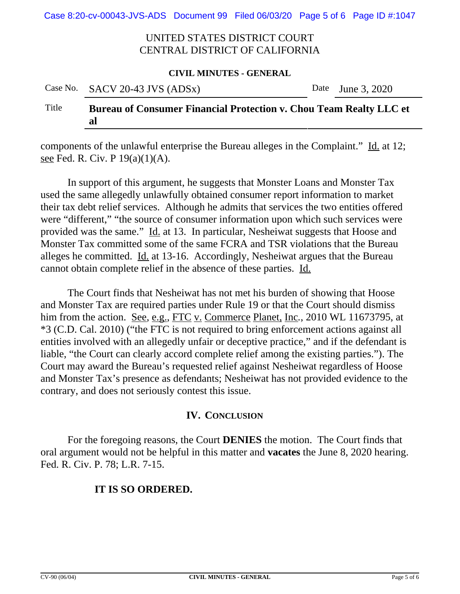Case 8:20-cv-00043-JVS-ADS Document 99 Filed 06/03/20 Page 5 of 6 Page ID #:1047

# UNITED STATES DISTRICT COURT CENTRAL DISTRICT OF CALIFORNIA

#### **CIVIL MINUTES - GENERAL**

|       | Case No. SACV 20-43 JVS $(ADSx)$                                                | Date June 3, 2020 |
|-------|---------------------------------------------------------------------------------|-------------------|
| Title | <b>Bureau of Consumer Financial Protection v. Chou Team Realty LLC et</b><br>al |                   |

components of the unlawful enterprise the Bureau alleges in the Complaint." Id. at 12; see Fed. R. Civ. P 19(a)(1)(A).

In support of this argument, he suggests that Monster Loans and Monster Tax used the same allegedly unlawfully obtained consumer report information to market their tax debt relief services. Although he admits that services the two entities offered were "different," "the source of consumer information upon which such services were provided was the same." Id. at 13. In particular, Nesheiwat suggests that Hoose and Monster Tax committed some of the same FCRA and TSR violations that the Bureau alleges he committed. Id. at 13-16. Accordingly, Nesheiwat argues that the Bureau cannot obtain complete relief in the absence of these parties. Id.

The Court finds that Nesheiwat has not met his burden of showing that Hoose and Monster Tax are required parties under Rule 19 or that the Court should dismiss him from the action. See, e.g., FTC v. Commerce Planet, Inc*.*, 2010 WL 11673795, at \*3 (C.D. Cal. 2010) ("the FTC is not required to bring enforcement actions against all entities involved with an allegedly unfair or deceptive practice," and if the defendant is liable, "the Court can clearly accord complete relief among the existing parties."). The Court may award the Bureau's requested relief against Nesheiwat regardless of Hoose and Monster Tax's presence as defendants; Nesheiwat has not provided evidence to the contrary, and does not seriously contest this issue.

### **IV. CONCLUSION**

For the foregoing reasons, the Court **DENIES** the motion. The Court finds that oral argument would not be helpful in this matter and **vacates** the June 8, 2020 hearing. Fed. R. Civ. P. 78; L.R. 7-15.

# **IT IS SO ORDERED.**